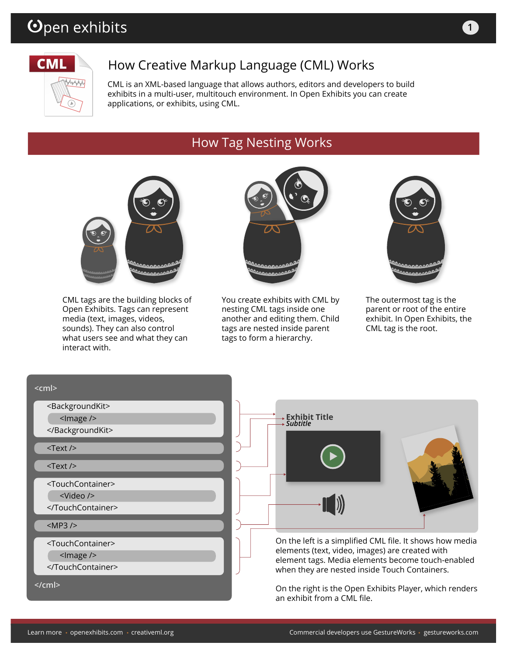# Open exhibits



# How Creative Markup Language (CML) Works

CML is an XML-based language that allows authors, editors and developers to build exhibits in a multi-user, multitouch environment. In Open Exhibits you can create applications, or exhibits, using CML.

# How Tag Nesting Works



CML tags are the building blocks of Open Exhibits. Tags can represent media (text, images, videos, sounds). They can also control what users see and what they can interact with.



You create exhibits with CML by nesting CML tags inside one another and editing them. Child tags are nested inside parent tags to form a hierarchy.



The outermost tag is the parent or root of the entire exhibit. In Open Exhibits, the CML tag is the root.

| $<$ cm $ >$                       |                                                                                                                                                       |
|-----------------------------------|-------------------------------------------------------------------------------------------------------------------------------------------------------|
| <backgroundkit></backgroundkit>   |                                                                                                                                                       |
| <lmage></lmage>                   | <b>Exhibit Title</b><br>Subtitle                                                                                                                      |
|                                   |                                                                                                                                                       |
| $<$ Text $/$                      |                                                                                                                                                       |
| $<$ Text $/$                      |                                                                                                                                                       |
| <touchcontainer></touchcontainer> |                                                                                                                                                       |
| $\langle$ Video />                |                                                                                                                                                       |
|                                   |                                                                                                                                                       |
| $<$ MP3 $/$                       |                                                                                                                                                       |
| <touchcontainer></touchcontainer> | On the left is a simplified CML file. It shows how media                                                                                              |
| $<$ Image $/$                     | elements (text, video, images) are created with<br>element tags. Media elements become touch-enabled<br>when they are nested inside Touch Containers. |
|                                   |                                                                                                                                                       |
| $<$ /cml $>$                      | On the right is the Open Exhibits Player, which renders<br>an exhibit from a CML file.                                                                |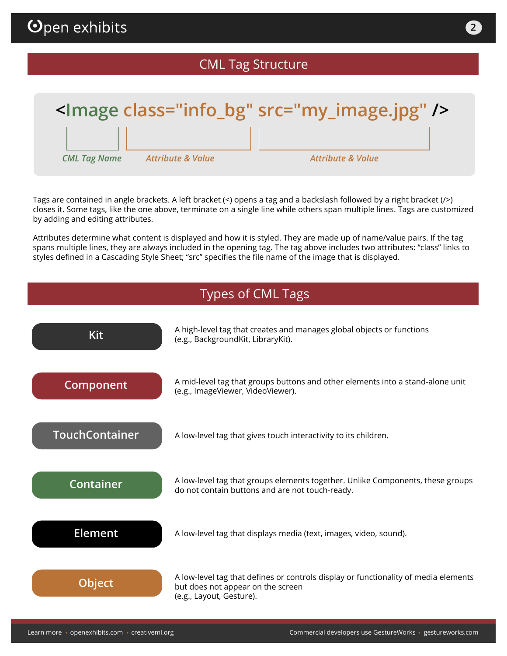# CML Tag Structure



Tags are contained in angle brackets. A left bracket (<) opens a tag and a backslash followed by a right bracket (/>) closes it. Some tags, like the one above, terminate on a single line while others span multiple lines. Tags are customized by adding and editing attributes.

Attributes determine what content is displayed and how it is styled. They are made up of name/value pairs. If the tag spans multiple lines, they are always included in the opening tag. The tag above includes two attributes: "class" links to styles defined in a Cascading Style Sheet; "src" specifies the file name of the image that is displayed.

### Types of CML Tags

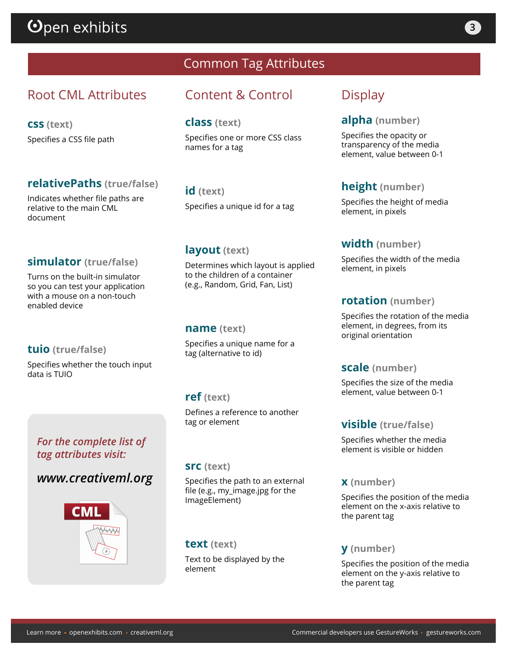# $\mathbf{\Theta}$ pen exhibits

# Root CML Attributes

**css (text)** Specifies a CSS file path

### **relativePaths (true/false)**

Indicates whether file paths are relative to the main CML document

### **simulator (true/false)**

Turns on the built-in simulator so you can test your application with a mouse on a non-touch enabled device

#### **tuio (true/false)**

Specifies whether the touch input data is TUIO

### *For the complete list of tag attributes visit:*

### *www.creativeml.org*



# Common Tag Attributes

# Content & Control

#### **class (text)**

Specifies one or more CSS class names for a tag

**id (text)**

Specifies a unique id for a tag

### **layout (text)**

Determines which layout is applied to the children of a container (e.g., Random, Grid, Fan, List)

#### **name (text)**

Specifies a unique name for a tag (alternative to id)

### **ref (text)**

Defines a reference to another tag or element

#### **src (text)**

Specifies the path to an external file (e.g., my\_image.jpg for the ImageElement)

#### **text (text)**

Text to be displayed by the element

## **Display**

### **alpha (number)**

Specifies the opacity or transparency of the media element, value between 0-1

### **height (number)**

Specifies the height of media element, in pixels

#### **width (number)**

Specifies the width of the media element, in pixels

#### **rotation (number)**

Specifies the rotation of the media element, in degrees, from its original orientation

#### **scale (number)**

Specifies the size of the media element, value between 0-1

#### **visible (true/false)**

Specifies whether the media element is visible or hidden

#### **x (number)**

Specifies the position of the media element on the x-axis relative to the parent tag

#### **y (number)**

Specifies the position of the media element on the y-axis relative to the parent tag